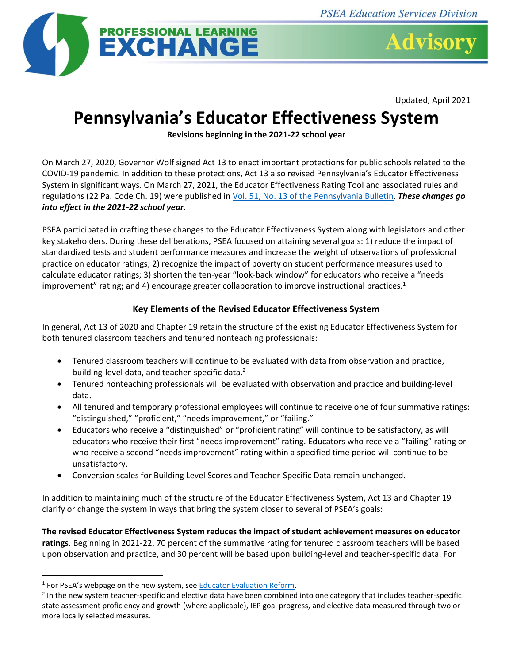



Updated, April 2021

## **Pennsylvania's Educator Effectiveness System**

**Revisions beginning in the 2021-22 school year**

On March 27, 2020, Governor Wolf signed Act 13 to enact important protections for public schools related to the COVID-19 pandemic. In addition to these protections, Act 13 also revised Pennsylvania's Educator Effectiveness System in significant ways. On March 27, 2021, the Educator Effectiveness Rating Tool and associated rules and regulations (22 Pa. Code Ch. 19) were published i[n Vol. 51, No. 13 of the Pennsylvania Bulletin.](https://www.pacodeandbulletin.gov/secure/pabulletin/data/vol51/51-13/51-13.pdf#page=22) *These changes go into effect in the 2021-22 school year.* 

PSEA participated in crafting these changes to the Educator Effectiveness System along with legislators and other key stakeholders. During these deliberations, PSEA focused on attaining several goals: 1) reduce the impact of standardized tests and student performance measures and increase the weight of observations of professional practice on educator ratings; 2) recognize the impact of poverty on student performance measures used to calculate educator ratings; 3) shorten the ten-year "look-back window" for educators who receive a "needs improvement" rating; and 4) encourage greater collaboration to improve instructional practices.<sup>1</sup>

## **Key Elements of the Revised Educator Effectiveness System**

In general, Act 13 of 2020 and Chapter 19 retain the structure of the existing Educator Effectiveness System for both tenured classroom teachers and tenured nonteaching professionals:

- Tenured classroom teachers will continue to be evaluated with data from observation and practice, building-level data, and teacher-specific data.<sup>2</sup>
- Tenured nonteaching professionals will be evaluated with observation and practice and building-level data.
- All tenured and temporary professional employees will continue to receive one of four summative ratings: "distinguished," "proficient," "needs improvement," or "failing."
- Educators who receive a "distinguished" or "proficient rating" will continue to be satisfactory, as will educators who receive their first "needs improvement" rating. Educators who receive a "failing" rating or who receive a second "needs improvement" rating within a specified time period will continue to be unsatisfactory.
- Conversion scales for Building Level Scores and Teacher-Specific Data remain unchanged.

In addition to maintaining much of the structure of the Educator Effectiveness System, Act 13 and Chapter 19 clarify or change the system in ways that bring the system closer to several of PSEA's goals:

**The revised Educator Effectiveness System reduces the impact of student achievement measures on educator ratings.** Beginning in 2021-22, 70 percent of the summative rating for tenured classroom teachers will be based upon observation and practice, and 30 percent will be based upon building-level and teacher-specific data. For

<sup>&</sup>lt;sup>1</sup> For PSEA's webpage on the new system, see **Educator Evaluation Reform**.

<sup>&</sup>lt;sup>2</sup> In the new system teacher-specific and elective data have been combined into one category that includes teacher-specific state assessment proficiency and growth (where applicable), IEP goal progress, and elective data measured through two or more locally selected measures.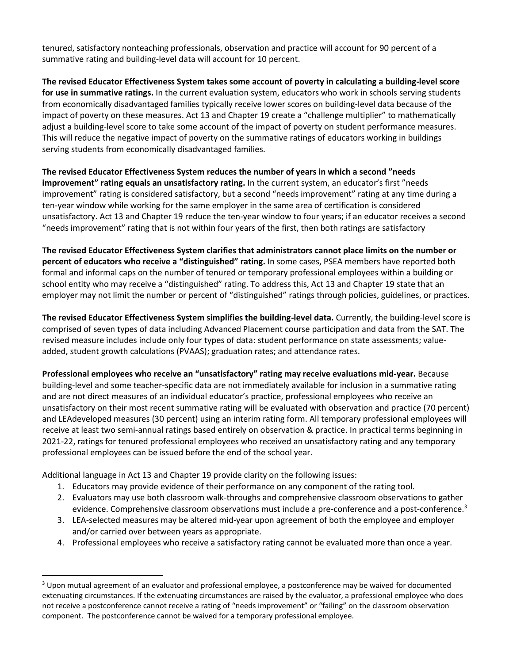tenured, satisfactory nonteaching professionals, observation and practice will account for 90 percent of a summative rating and building-level data will account for 10 percent.

**The revised Educator Effectiveness System takes some account of poverty in calculating a building-level score for use in summative ratings.** In the current evaluation system, educators who work in schools serving students from economically disadvantaged families typically receive lower scores on building-level data because of the impact of poverty on these measures. Act 13 and Chapter 19 create a "challenge multiplier" to mathematically adjust a building-level score to take some account of the impact of poverty on student performance measures. This will reduce the negative impact of poverty on the summative ratings of educators working in buildings serving students from economically disadvantaged families.

**The revised Educator Effectiveness System reduces the number of years in which a second "needs improvement" rating equals an unsatisfactory rating.** In the current system, an educator's first "needs improvement" rating is considered satisfactory, but a second "needs improvement" rating at any time during a ten-year window while working for the same employer in the same area of certification is considered unsatisfactory. Act 13 and Chapter 19 reduce the ten-year window to four years; if an educator receives a second "needs improvement" rating that is not within four years of the first, then both ratings are satisfactory

**The revised Educator Effectiveness System clarifies that administrators cannot place limits on the number or percent of educators who receive a "distinguished" rating.** In some cases, PSEA members have reported both formal and informal caps on the number of tenured or temporary professional employees within a building or school entity who may receive a "distinguished" rating. To address this, Act 13 and Chapter 19 state that an employer may not limit the number or percent of "distinguished" ratings through policies, guidelines, or practices.

**The revised Educator Effectiveness System simplifies the building-level data.** Currently, the building-level score is comprised of seven types of data including Advanced Placement course participation and data from the SAT. The revised measure includes include only four types of data: student performance on state assessments; valueadded, student growth calculations (PVAAS); graduation rates; and attendance rates.

**Professional employees who receive an "unsatisfactory" rating may receive evaluations mid-year.** Because building-level and some teacher-specific data are not immediately available for inclusion in a summative rating and are not direct measures of an individual educator's practice, professional employees who receive an unsatisfactory on their most recent summative rating will be evaluated with observation and practice (70 percent) and LEAdeveloped measures (30 percent) using an interim rating form. All temporary professional employees will receive at least two semi-annual ratings based entirely on observation & practice. In practical terms beginning in 2021-22, ratings for tenured professional employees who received an unsatisfactory rating and any temporary professional employees can be issued before the end of the school year.

Additional language in Act 13 and Chapter 19 provide clarity on the following issues:

- 1. Educators may provide evidence of their performance on any component of the rating tool.
- 2. Evaluators may use both classroom walk-throughs and comprehensive classroom observations to gather evidence. Comprehensive classroom observations must include a pre-conference and a post-conference.<sup>3</sup>
- 3. LEA-selected measures may be altered mid-year upon agreement of both the employee and employer and/or carried over between years as appropriate.
- 4. Professional employees who receive a satisfactory rating cannot be evaluated more than once a year.

<sup>&</sup>lt;sup>3</sup> Upon mutual agreement of an evaluator and professional employee, a postconference may be waived for documented extenuating circumstances. If the extenuating circumstances are raised by the evaluator, a professional employee who does not receive a postconference cannot receive a rating of "needs improvement" or "failing" on the classroom observation component. The postconference cannot be waived for a temporary professional employee.